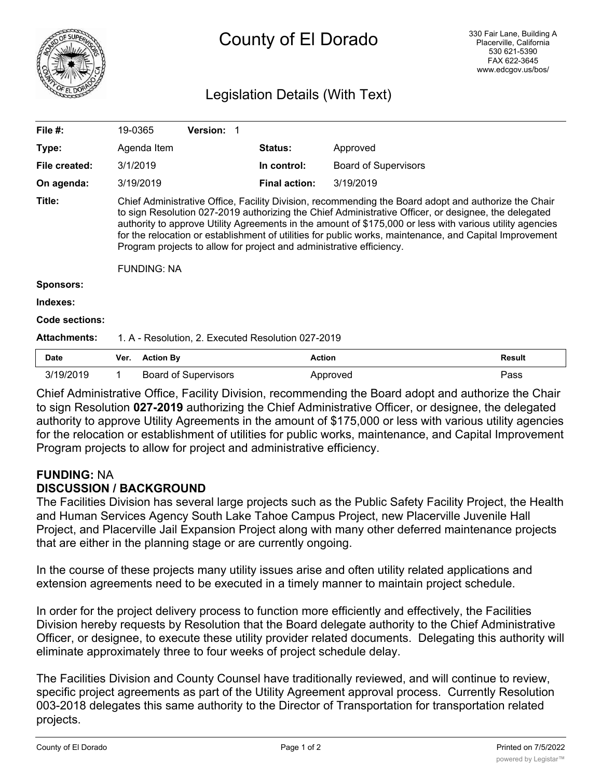

# County of El Dorado

## Legislation Details (With Text)

| File $#$ :          | 19-0365                                                                                                                                                                                                                                                                                                                                                                                                                                                                                                                           |                  | Version: 1                  |                      |                             |               |
|---------------------|-----------------------------------------------------------------------------------------------------------------------------------------------------------------------------------------------------------------------------------------------------------------------------------------------------------------------------------------------------------------------------------------------------------------------------------------------------------------------------------------------------------------------------------|------------------|-----------------------------|----------------------|-----------------------------|---------------|
| Type:               |                                                                                                                                                                                                                                                                                                                                                                                                                                                                                                                                   | Agenda Item      |                             | <b>Status:</b>       | Approved                    |               |
| File created:       | 3/1/2019                                                                                                                                                                                                                                                                                                                                                                                                                                                                                                                          |                  |                             | In control:          | <b>Board of Supervisors</b> |               |
| On agenda:          |                                                                                                                                                                                                                                                                                                                                                                                                                                                                                                                                   | 3/19/2019        |                             | <b>Final action:</b> | 3/19/2019                   |               |
| Title:              | Chief Administrative Office, Facility Division, recommending the Board adopt and authorize the Chair<br>to sign Resolution 027-2019 authorizing the Chief Administrative Officer, or designee, the delegated<br>authority to approve Utility Agreements in the amount of \$175,000 or less with various utility agencies<br>for the relocation or establishment of utilities for public works, maintenance, and Capital Improvement<br>Program projects to allow for project and administrative efficiency.<br><b>FUNDING: NA</b> |                  |                             |                      |                             |               |
| <b>Sponsors:</b>    |                                                                                                                                                                                                                                                                                                                                                                                                                                                                                                                                   |                  |                             |                      |                             |               |
| Indexes:            |                                                                                                                                                                                                                                                                                                                                                                                                                                                                                                                                   |                  |                             |                      |                             |               |
| Code sections:      |                                                                                                                                                                                                                                                                                                                                                                                                                                                                                                                                   |                  |                             |                      |                             |               |
| <b>Attachments:</b> | 1. A - Resolution, 2. Executed Resolution 027-2019                                                                                                                                                                                                                                                                                                                                                                                                                                                                                |                  |                             |                      |                             |               |
| <b>Date</b>         | Ver.                                                                                                                                                                                                                                                                                                                                                                                                                                                                                                                              | <b>Action By</b> |                             | <b>Action</b>        |                             | <b>Result</b> |
| 3/19/2019           |                                                                                                                                                                                                                                                                                                                                                                                                                                                                                                                                   |                  | <b>Board of Supervisors</b> |                      | Approved                    | Pass          |

Chief Administrative Office, Facility Division, recommending the Board adopt and authorize the Chair to sign Resolution **027-2019** authorizing the Chief Administrative Officer, or designee, the delegated authority to approve Utility Agreements in the amount of \$175,000 or less with various utility agencies for the relocation or establishment of utilities for public works, maintenance, and Capital Improvement Program projects to allow for project and administrative efficiency.

### **FUNDING:** NA **DISCUSSION / BACKGROUND**

The Facilities Division has several large projects such as the Public Safety Facility Project, the Health and Human Services Agency South Lake Tahoe Campus Project, new Placerville Juvenile Hall Project, and Placerville Jail Expansion Project along with many other deferred maintenance projects that are either in the planning stage or are currently ongoing.

In the course of these projects many utility issues arise and often utility related applications and extension agreements need to be executed in a timely manner to maintain project schedule.

In order for the project delivery process to function more efficiently and effectively, the Facilities Division hereby requests by Resolution that the Board delegate authority to the Chief Administrative Officer, or designee, to execute these utility provider related documents. Delegating this authority will eliminate approximately three to four weeks of project schedule delay.

The Facilities Division and County Counsel have traditionally reviewed, and will continue to review, specific project agreements as part of the Utility Agreement approval process. Currently Resolution 003-2018 delegates this same authority to the Director of Transportation for transportation related projects.